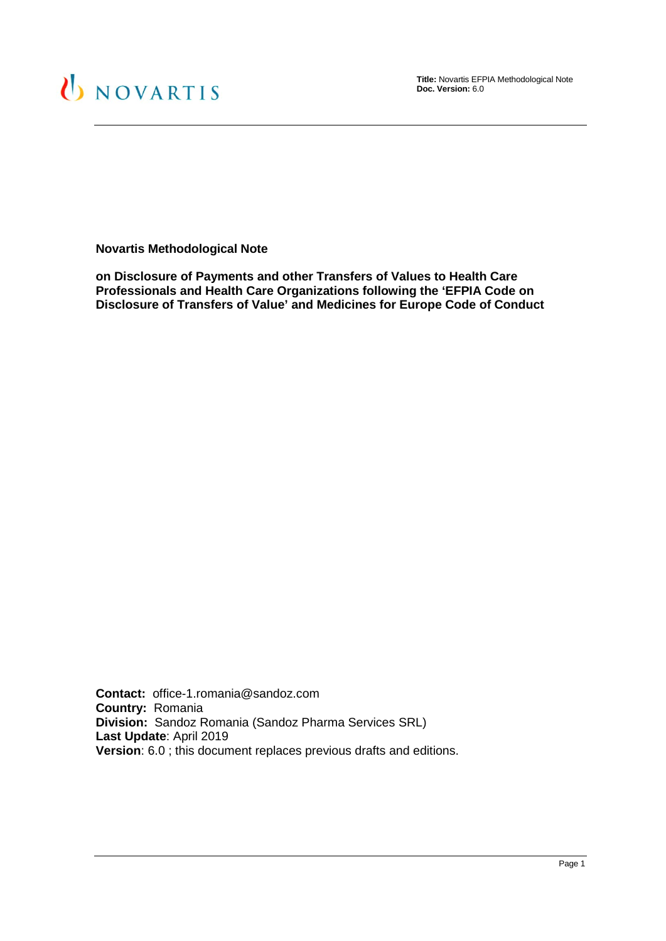

**Title:** Novartis EFPIA Methodological Note **Doc. Version:** 6.0

**Novartis Methodological Note**

**on Disclosure of Payments and other Transfers of Values to Health Care Professionals and Health Care Organizations following the 'EFPIA Code on Disclosure of Transfers of Value' and Medicines for Europe Code of Conduct**

**Contact:** office-1.romania@sandoz.com **Country:** Romania **Division:** Sandoz Romania (Sandoz Pharma Services SRL) **Last Update**: April 2019 **Version**: 6.0 ; this document replaces previous drafts and editions.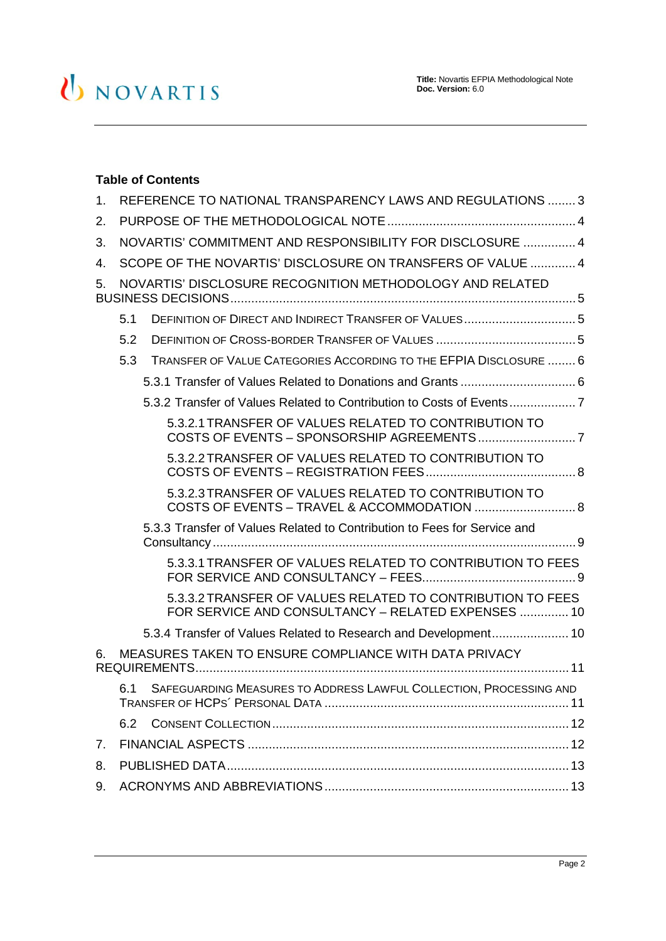# U NOVARTIS

# **Table of Contents**

| 1.                                                             | REFERENCE TO NATIONAL TRANSPARENCY LAWS AND REGULATIONS  3 |                                                                                                                  |  |
|----------------------------------------------------------------|------------------------------------------------------------|------------------------------------------------------------------------------------------------------------------|--|
| 2.                                                             |                                                            |                                                                                                                  |  |
| 3.                                                             | NOVARTIS' COMMITMENT AND RESPONSIBILITY FOR DISCLOSURE  4  |                                                                                                                  |  |
| 4.                                                             | SCOPE OF THE NOVARTIS' DISCLOSURE ON TRANSFERS OF VALUE  4 |                                                                                                                  |  |
| NOVARTIS' DISCLOSURE RECOGNITION METHODOLOGY AND RELATED<br>5. |                                                            |                                                                                                                  |  |
|                                                                | 5.1                                                        |                                                                                                                  |  |
|                                                                | 5.2                                                        |                                                                                                                  |  |
|                                                                | 5.3                                                        | TRANSFER OF VALUE CATEGORIES ACCORDING TO THE EFPIA DISCLOSURE  6                                                |  |
|                                                                |                                                            |                                                                                                                  |  |
|                                                                |                                                            | 5.3.2 Transfer of Values Related to Contribution to Costs of Events7                                             |  |
|                                                                |                                                            | 5.3.2.1 TRANSFER OF VALUES RELATED TO CONTRIBUTION TO                                                            |  |
|                                                                |                                                            | 5.3.2.2 TRANSFER OF VALUES RELATED TO CONTRIBUTION TO                                                            |  |
|                                                                |                                                            | 5.3.2.3 TRANSFER OF VALUES RELATED TO CONTRIBUTION TO                                                            |  |
|                                                                |                                                            | 5.3.3 Transfer of Values Related to Contribution to Fees for Service and                                         |  |
|                                                                |                                                            | 5.3.3.1 TRANSFER OF VALUES RELATED TO CONTRIBUTION TO FEES                                                       |  |
|                                                                |                                                            | 5.3.3.2 TRANSFER OF VALUES RELATED TO CONTRIBUTION TO FEES<br>FOR SERVICE AND CONSULTANCY - RELATED EXPENSES  10 |  |
|                                                                |                                                            | 5.3.4 Transfer of Values Related to Research and Development 10                                                  |  |
| 6.                                                             | MEASURES TAKEN TO ENSURE COMPLIANCE WITH DATA PRIVACY      |                                                                                                                  |  |
|                                                                | 6.1                                                        | SAFEGUARDING MEASURES TO ADDRESS LAWFUL COLLECTION, PROCESSING AND                                               |  |
|                                                                | 6.2                                                        |                                                                                                                  |  |
| 7.                                                             |                                                            |                                                                                                                  |  |
| 8.                                                             |                                                            |                                                                                                                  |  |
| 9.                                                             |                                                            |                                                                                                                  |  |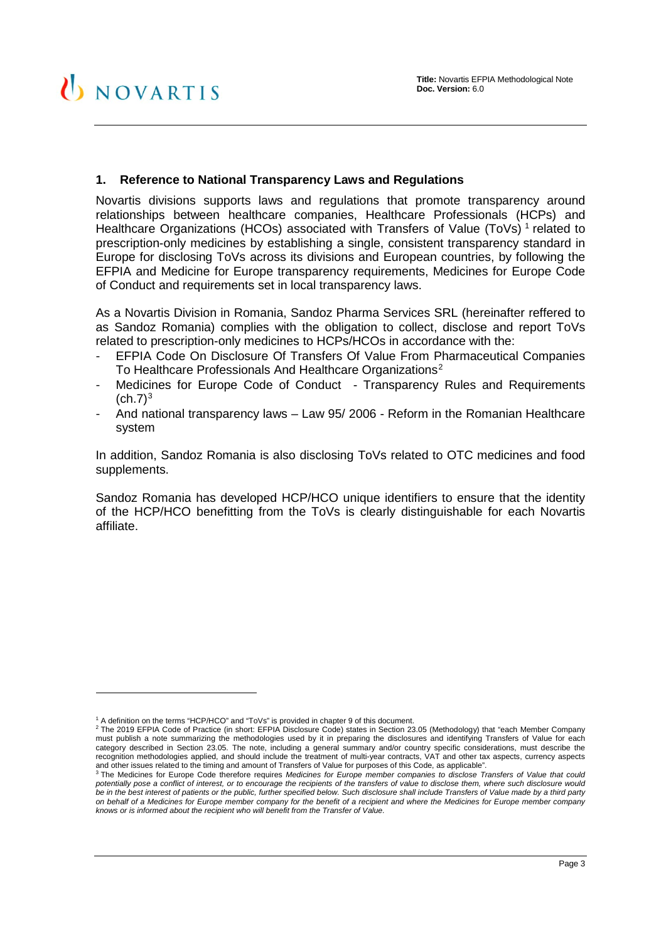## <span id="page-2-0"></span>**1. Reference to National Transparency Laws and Regulations**

Novartis divisions supports laws and regulations that promote transparency around relationships between healthcare companies, Healthcare Professionals (HCPs) and Healthcare Organizations (HCOs) associated with Transfers of Value (ToVs)<sup>[1](#page-2-1)</sup> related to prescription-only medicines by establishing a single, consistent transparency standard in Europe for disclosing ToVs across its divisions and European countries, by following the EFPIA and Medicine for Europe transparency requirements, Medicines for Europe Code of Conduct and requirements set in local transparency laws.

As a Novartis Division in Romania, Sandoz Pharma Services SRL (hereinafter reffered to as Sandoz Romania) complies with the obligation to collect, disclose and report ToVs related to prescription-only medicines to HCPs/HCOs in accordance with the:

- EFPIA Code On Disclosure Of Transfers Of Value From Pharmaceutical Companies To Healthcare Professionals And Healthcare Organizations<sup>[2](#page-2-2)</sup>
- Medicines for Europe Code of Conduct Transparency Rules and Requirements  $(ch.7)<sup>3</sup>$  $(ch.7)<sup>3</sup>$  $(ch.7)<sup>3</sup>$
- And national transparency laws Law 95/ 2006 Reform in the Romanian Healthcare system

In addition, Sandoz Romania is also disclosing ToVs related to OTC medicines and food supplements.

Sandoz Romania has developed HCP/HCO unique identifiers to ensure that the identity of the HCP/HCO benefitting from the ToVs is clearly distinguishable for each Novartis affiliate.

-

<sup>1</sup> A definition on the terms "HCP/HCO" and "ToVs" is provided in chapter 9 of this document.

<span id="page-2-2"></span><span id="page-2-1"></span><sup>2</sup> The 2019 EFPIA Code of Practice (in short: EFPIA Disclosure Code) states in Section 23.05 (Methodology) that "each Member Company must publish a note summarizing the methodologies used by it in preparing the disclosures and identifying Transfers of Value for each category described in Section 23.05. The note, including a general summary and/or country specific considerations, must describe the recognition methodologies applied, and should include the treatment of multi-year contracts, VAT and other tax aspects, currency aspects and other issues related to the timing and amount of Transfers of Value for purposes of this Code, as applicable".<br><sup>3</sup> The Medicines for Europe Code therefore requires Medicines for Europe member companies to disclose Tran

<span id="page-2-3"></span>*potentially pose a conflict of interest, or to encourage the recipients of the transfers of value to disclose them, where such disclosure would be in the best interest of patients or the public, further specified below. Such disclosure shall include Transfers of Value made by a third party on behalf of a Medicines for Europe member company for the benefit of a recipient and where the Medicines for Europe member company knows or is informed about the recipient who will benefit from the Transfer of Value.*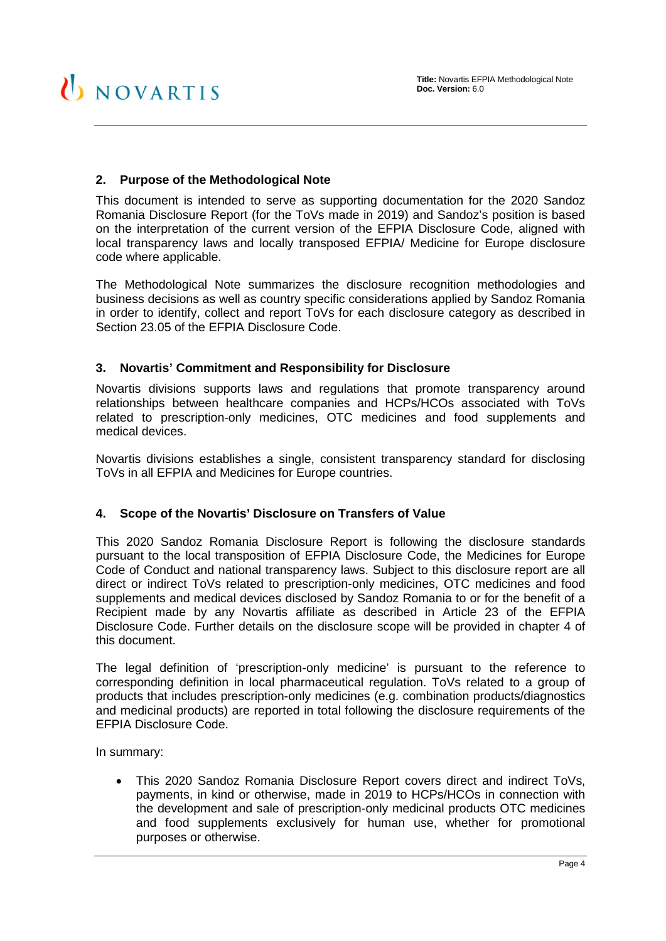# <span id="page-3-0"></span>**2. Purpose of the Methodological Note**

This document is intended to serve as supporting documentation for the 2020 Sandoz Romania Disclosure Report (for the ToVs made in 2019) and Sandoz's position is based on the interpretation of the current version of the EFPIA Disclosure Code, aligned with local transparency laws and locally transposed EFPIA/ Medicine for Europe disclosure code where applicable.

The Methodological Note summarizes the disclosure recognition methodologies and business decisions as well as country specific considerations applied by Sandoz Romania in order to identify, collect and report ToVs for each disclosure category as described in Section 23.05 of the EFPIA Disclosure Code.

#### <span id="page-3-1"></span>**3. Novartis' Commitment and Responsibility for Disclosure**

Novartis divisions supports laws and regulations that promote transparency around relationships between healthcare companies and HCPs/HCOs associated with ToVs related to prescription-only medicines, OTC medicines and food supplements and medical devices.

Novartis divisions establishes a single, consistent transparency standard for disclosing ToVs in all EFPIA and Medicines for Europe countries.

#### <span id="page-3-2"></span>**4. Scope of the Novartis' Disclosure on Transfers of Value**

This 2020 Sandoz Romania Disclosure Report is following the disclosure standards pursuant to the local transposition of EFPIA Disclosure Code, the Medicines for Europe Code of Conduct and national transparency laws. Subject to this disclosure report are all direct or indirect ToVs related to prescription-only medicines, OTC medicines and food supplements and medical devices disclosed by Sandoz Romania to or for the benefit of a Recipient made by any Novartis affiliate as described in Article 23 of the EFPIA Disclosure Code. Further details on the disclosure scope will be provided in chapter [4](#page-3-2) of this document.

The legal definition of 'prescription-only medicine' is pursuant to the reference to corresponding definition in local pharmaceutical regulation. ToVs related to a group of products that includes prescription-only medicines (e.g. combination products/diagnostics and medicinal products) are reported in total following the disclosure requirements of the EFPIA Disclosure Code.

In summary:

• This 2020 Sandoz Romania Disclosure Report covers direct and indirect ToVs, payments, in kind or otherwise, made in 2019 to HCPs/HCOs in connection with the development and sale of prescription-only medicinal products OTC medicines and food supplements exclusively for human use, whether for promotional purposes or otherwise.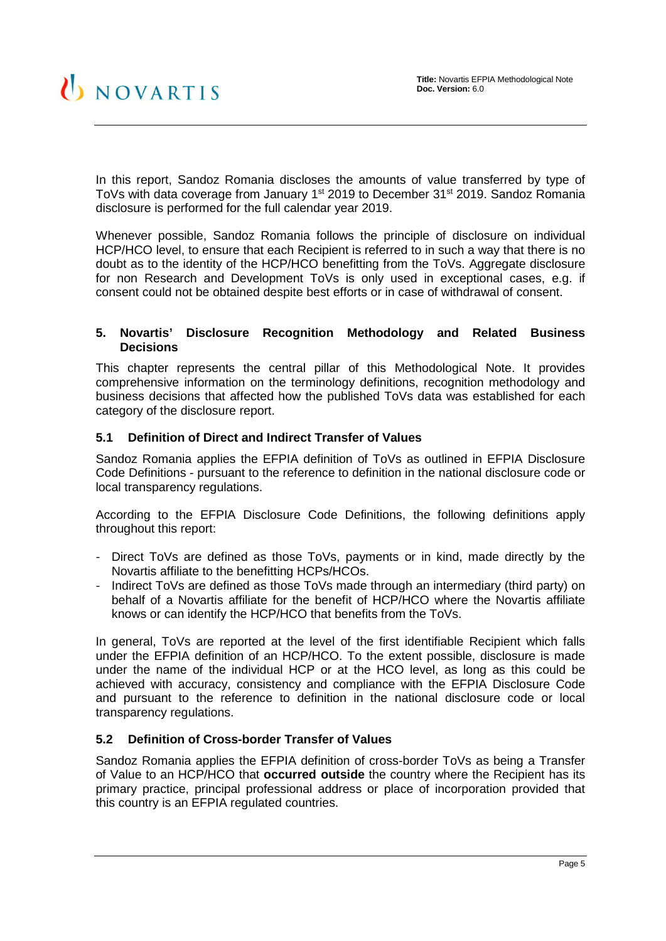In this report, Sandoz Romania discloses the amounts of value transferred by type of ToVs with data coverage from January 1<sup>st</sup> 2019 to December 31<sup>st</sup> 2019. Sandoz Romania disclosure is performed for the full calendar year 2019.

Whenever possible, Sandoz Romania follows the principle of disclosure on individual HCP/HCO level, to ensure that each Recipient is referred to in such a way that there is no doubt as to the identity of the HCP/HCO benefitting from the ToVs. Aggregate disclosure for non Research and Development ToVs is only used in exceptional cases, e.g. if consent could not be obtained despite best efforts or in case of withdrawal of consent.

#### <span id="page-4-0"></span>**5. Novartis' Disclosure Recognition Methodology and Related Business Decisions**

This chapter represents the central pillar of this Methodological Note. It provides comprehensive information on the terminology definitions, recognition methodology and business decisions that affected how the published ToVs data was established for each category of the disclosure report.

# <span id="page-4-1"></span>**5.1 Definition of Direct and Indirect Transfer of Values**

Sandoz Romania applies the EFPIA definition of ToVs as outlined in EFPIA Disclosure Code Definitions - pursuant to the reference to definition in the national disclosure code or local transparency regulations.

According to the EFPIA Disclosure Code Definitions, the following definitions apply throughout this report:

- Direct ToVs are defined as those ToVs, payments or in kind, made directly by the Novartis affiliate to the benefitting HCPs/HCOs.
- Indirect ToVs are defined as those ToVs made through an intermediary (third party) on behalf of a Novartis affiliate for the benefit of HCP/HCO where the Novartis affiliate knows or can identify the HCP/HCO that benefits from the ToVs.

In general, ToVs are reported at the level of the first identifiable Recipient which falls under the EFPIA definition of an HCP/HCO. To the extent possible, disclosure is made under the name of the individual HCP or at the HCO level, as long as this could be achieved with accuracy, consistency and compliance with the EFPIA Disclosure Code and pursuant to the reference to definition in the national disclosure code or local transparency regulations.

#### <span id="page-4-2"></span>**5.2 Definition of Cross-border Transfer of Values**

Sandoz Romania applies the EFPIA definition of cross-border ToVs as being a Transfer of Value to an HCP/HCO that **occurred outside** the country where the Recipient has its primary practice, principal professional address or place of incorporation provided that this country is an EFPIA regulated countries.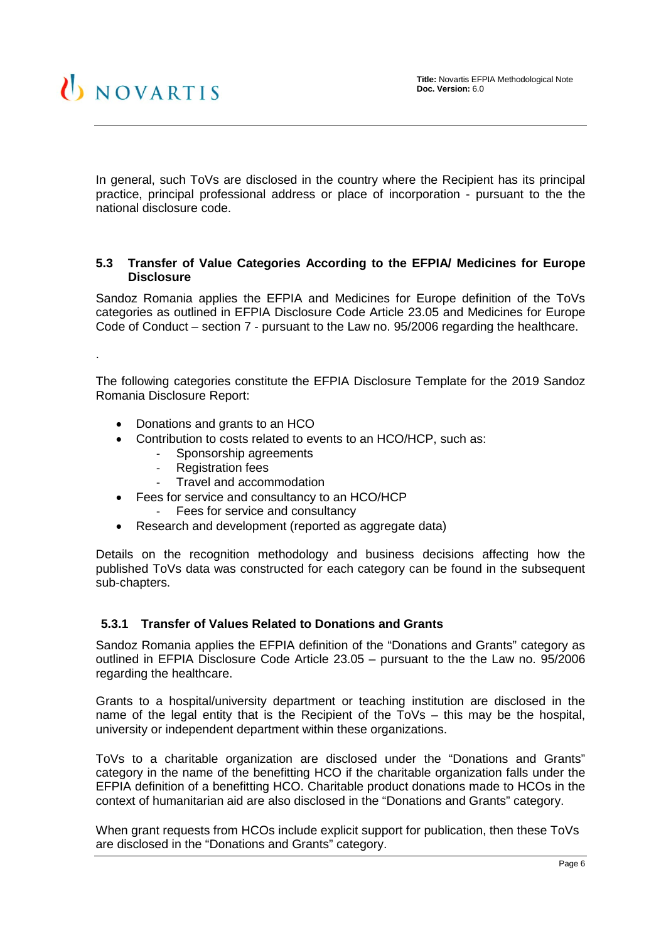

.

In general, such ToVs are disclosed in the country where the Recipient has its principal practice, principal professional address or place of incorporation - pursuant to the the national disclosure code.

#### <span id="page-5-0"></span>**5.3 Transfer of Value Categories According to the EFPIA/ Medicines for Europe Disclosure**

Sandoz Romania applies the EFPIA and Medicines for Europe definition of the ToVs categories as outlined in EFPIA Disclosure Code Article 23.05 and Medicines for Europe Code of Conduct – section 7 - pursuant to the Law no. 95/2006 regarding the healthcare.

The following categories constitute the EFPIA Disclosure Template for the 2019 Sandoz Romania Disclosure Report:

- Donations and grants to an HCO
- Contribution to costs related to events to an HCO/HCP, such as:
	- Sponsorship agreements
	- Registration fees
	- Travel and accommodation
- Fees for service and consultancy to an HCO/HCP
	- Fees for service and consultancy
- Research and development (reported as aggregate data)

Details on the recognition methodology and business decisions affecting how the published ToVs data was constructed for each category can be found in the subsequent sub-chapters.

#### <span id="page-5-1"></span>**5.3.1 Transfer of Values Related to Donations and Grants**

Sandoz Romania applies the EFPIA definition of the "Donations and Grants" category as outlined in EFPIA Disclosure Code Article 23.05 – pursuant to the the Law no. 95/2006 regarding the healthcare.

Grants to a hospital/university department or teaching institution are disclosed in the name of the legal entity that is the Recipient of the ToVs – this may be the hospital, university or independent department within these organizations.

ToVs to a charitable organization are disclosed under the "Donations and Grants" category in the name of the benefitting HCO if the charitable organization falls under the EFPIA definition of a benefitting HCO. Charitable product donations made to HCOs in the context of humanitarian aid are also disclosed in the "Donations and Grants" category.

When grant requests from HCOs include explicit support for publication, then these ToVs are disclosed in the "Donations and Grants" category.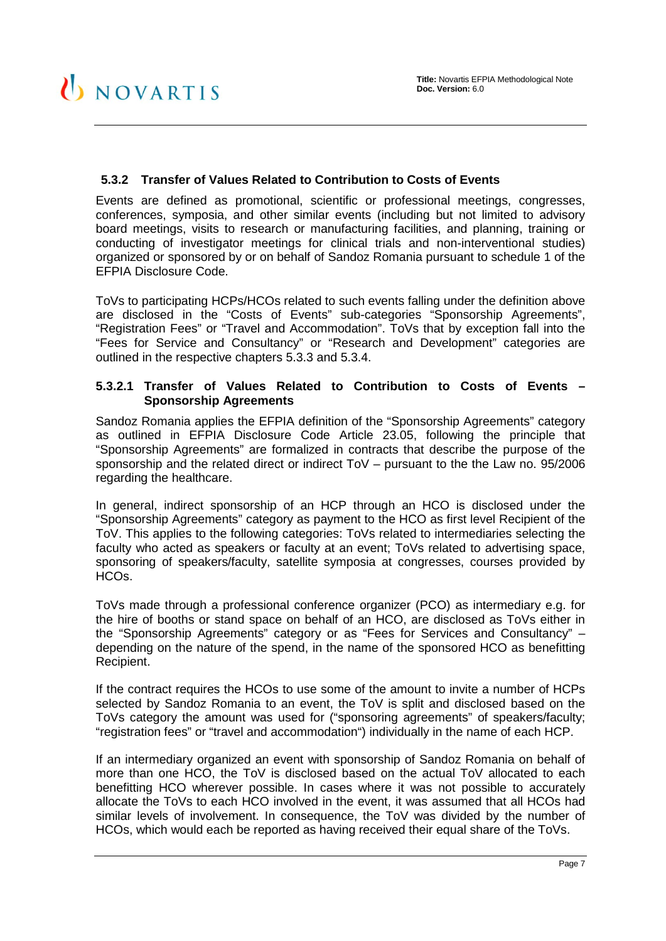# <span id="page-6-0"></span>**5.3.2 Transfer of Values Related to Contribution to Costs of Events**

Events are defined as promotional, scientific or professional meetings, congresses, conferences, symposia, and other similar events (including but not limited to advisory board meetings, visits to research or manufacturing facilities, and planning, training or conducting of investigator meetings for clinical trials and non-interventional studies) organized or sponsored by or on behalf of Sandoz Romania pursuant to schedule 1 of the EFPIA Disclosure Code.

ToVs to participating HCPs/HCOs related to such events falling under the definition above are disclosed in the "Costs of Events" sub-categories "Sponsorship Agreements", "Registration Fees" or "Travel and Accommodation". ToVs that by exception fall into the "Fees for Service and Consultancy" or "Research and Development" categories are outlined in the respective chapters [5.3.3](#page-8-0) and [5.3.4.](#page-9-1)

#### <span id="page-6-1"></span>**5.3.2.1 Transfer of Values Related to Contribution to Costs of Events – Sponsorship Agreements**

Sandoz Romania applies the EFPIA definition of the "Sponsorship Agreements" category as outlined in EFPIA Disclosure Code Article 23.05, following the principle that "Sponsorship Agreements" are formalized in contracts that describe the purpose of the sponsorship and the related direct or indirect ToV – pursuant to the the Law no. 95/2006 regarding the healthcare.

In general, indirect sponsorship of an HCP through an HCO is disclosed under the "Sponsorship Agreements" category as payment to the HCO as first level Recipient of the ToV. This applies to the following categories: ToVs related to intermediaries selecting the faculty who acted as speakers or faculty at an event; ToVs related to advertising space, sponsoring of speakers/faculty, satellite symposia at congresses, courses provided by HCOs.

ToVs made through a professional conference organizer (PCO) as intermediary e.g. for the hire of booths or stand space on behalf of an HCO, are disclosed as ToVs either in the "Sponsorship Agreements" category or as "Fees for Services and Consultancy" – depending on the nature of the spend, in the name of the sponsored HCO as benefitting Recipient.

If the contract requires the HCOs to use some of the amount to invite a number of HCPs selected by Sandoz Romania to an event, the ToV is split and disclosed based on the ToVs category the amount was used for ("sponsoring agreements" of speakers/faculty; "registration fees" or "travel and accommodation") individually in the name of each HCP.

If an intermediary organized an event with sponsorship of Sandoz Romania on behalf of more than one HCO, the ToV is disclosed based on the actual ToV allocated to each benefitting HCO wherever possible. In cases where it was not possible to accurately allocate the ToVs to each HCO involved in the event, it was assumed that all HCOs had similar levels of involvement. In consequence, the ToV was divided by the number of HCOs, which would each be reported as having received their equal share of the ToVs.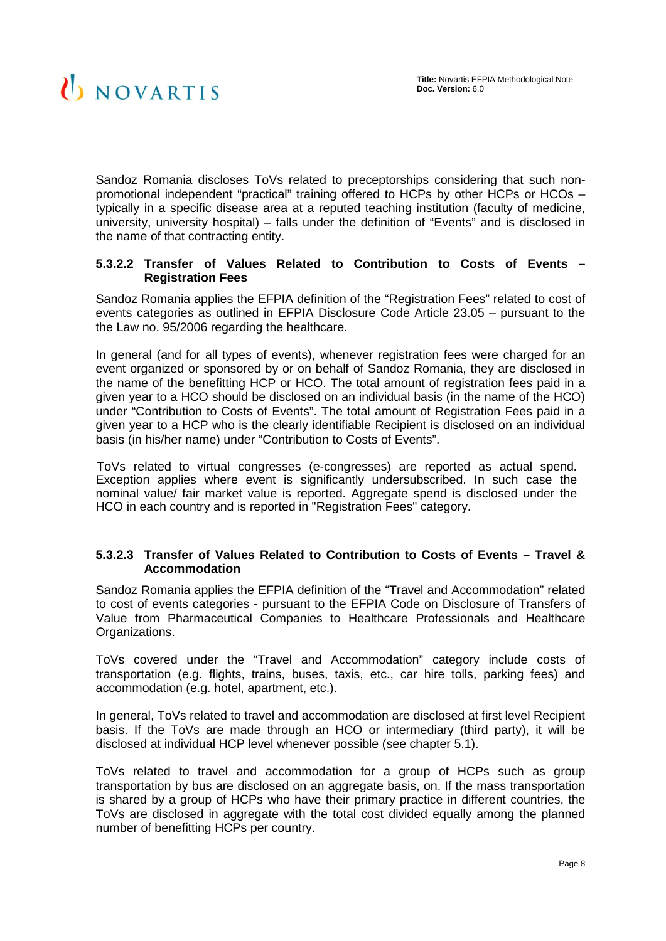Sandoz Romania discloses ToVs related to preceptorships considering that such nonpromotional independent "practical" training offered to HCPs by other HCPs or HCOs – typically in a specific disease area at a reputed teaching institution (faculty of medicine, university, university hospital) – falls under the definition of "Events" and is disclosed in the name of that contracting entity.

## <span id="page-7-0"></span>**5.3.2.2 Transfer of Values Related to Contribution to Costs of Events – Registration Fees**

Sandoz Romania applies the EFPIA definition of the "Registration Fees" related to cost of events categories as outlined in EFPIA Disclosure Code Article 23.05 – pursuant to the the Law no. 95/2006 regarding the healthcare.

In general (and for all types of events), whenever registration fees were charged for an event organized or sponsored by or on behalf of Sandoz Romania, they are disclosed in the name of the benefitting HCP or HCO. The total amount of registration fees paid in a given year to a HCO should be disclosed on an individual basis (in the name of the HCO) under "Contribution to Costs of Events". The total amount of Registration Fees paid in a given year to a HCP who is the clearly identifiable Recipient is disclosed on an individual basis (in his/her name) under "Contribution to Costs of Events".

ToVs related to virtual congresses (e-congresses) are reported as actual spend. Exception applies where event is significantly undersubscribed. In such case the nominal value/ fair market value is reported. Aggregate spend is disclosed under the HCO in each country and is reported in "Registration Fees" category.

#### <span id="page-7-1"></span>**5.3.2.3 Transfer of Values Related to Contribution to Costs of Events – Travel & Accommodation**

Sandoz Romania applies the EFPIA definition of the "Travel and Accommodation" related to cost of events categories - pursuant to the EFPIA Code on Disclosure of Transfers of Value from Pharmaceutical Companies to Healthcare Professionals and Healthcare Organizations.

ToVs covered under the "Travel and Accommodation" category include costs of transportation (e.g. flights, trains, buses, taxis, etc., car hire tolls, parking fees) and accommodation (e.g. hotel, apartment, etc.).

In general, ToVs related to travel and accommodation are disclosed at first level Recipient basis. If the ToVs are made through an HCO or intermediary (third party), it will be disclosed at individual HCP level whenever possible (see chapter [5.1\)](#page-4-1).

ToVs related to travel and accommodation for a group of HCPs such as group transportation by bus are disclosed on an aggregate basis, on. If the mass transportation is shared by a group of HCPs who have their primary practice in different countries, the ToVs are disclosed in aggregate with the total cost divided equally among the planned number of benefitting HCPs per country.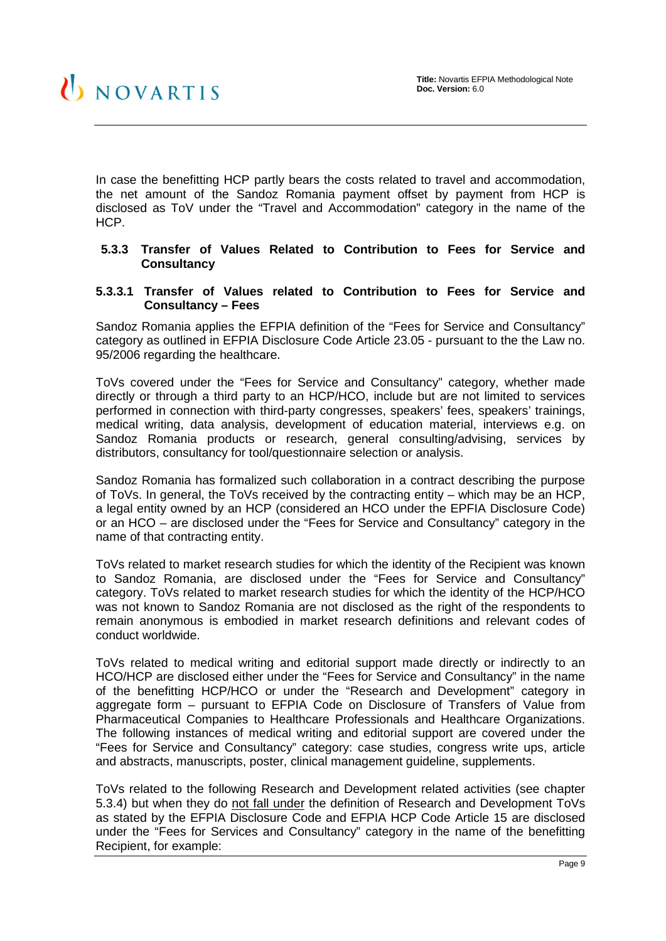In case the benefitting HCP partly bears the costs related to travel and accommodation, the net amount of the Sandoz Romania payment offset by payment from HCP is disclosed as ToV under the "Travel and Accommodation" category in the name of the HCP.

#### <span id="page-8-0"></span>**5.3.3 Transfer of Values Related to Contribution to Fees for Service and Consultancy**

#### <span id="page-8-1"></span>**5.3.3.1 Transfer of Values related to Contribution to Fees for Service and Consultancy – Fees**

Sandoz Romania applies the EFPIA definition of the "Fees for Service and Consultancy" category as outlined in EFPIA Disclosure Code Article 23.05 - pursuant to the the Law no. 95/2006 regarding the healthcare.

ToVs covered under the "Fees for Service and Consultancy" category, whether made directly or through a third party to an HCP/HCO, include but are not limited to services performed in connection with third-party congresses, speakers' fees, speakers' trainings, medical writing, data analysis, development of education material, interviews e.g. on Sandoz Romania products or research, general consulting/advising, services by distributors, consultancy for tool/questionnaire selection or analysis.

Sandoz Romania has formalized such collaboration in a contract describing the purpose of ToVs. In general, the ToVs received by the contracting entity – which may be an HCP, a legal entity owned by an HCP (considered an HCO under the EPFIA Disclosure Code) or an HCO – are disclosed under the "Fees for Service and Consultancy" category in the name of that contracting entity.

ToVs related to market research studies for which the identity of the Recipient was known to Sandoz Romania, are disclosed under the "Fees for Service and Consultancy" category. ToVs related to market research studies for which the identity of the HCP/HCO was not known to Sandoz Romania are not disclosed as the right of the respondents to remain anonymous is embodied in market research definitions and relevant codes of conduct worldwide.

ToVs related to medical writing and editorial support made directly or indirectly to an HCO/HCP are disclosed either under the "Fees for Service and Consultancy" in the name of the benefitting HCP/HCO or under the "Research and Development" category in aggregate form – pursuant to EFPIA Code on Disclosure of Transfers of Value from Pharmaceutical Companies to Healthcare Professionals and Healthcare Organizations. The following instances of medical writing and editorial support are covered under the "Fees for Service and Consultancy" category: case studies, congress write ups, article and abstracts, manuscripts, poster, clinical management guideline, supplements.

ToVs related to the following Research and Development related activities (see chapter [5.3.4\)](#page-9-1) but when they do not fall under the definition of Research and Development ToVs as stated by the EFPIA Disclosure Code and EFPIA HCP Code Article 15 are disclosed under the "Fees for Services and Consultancy" category in the name of the benefitting Recipient, for example: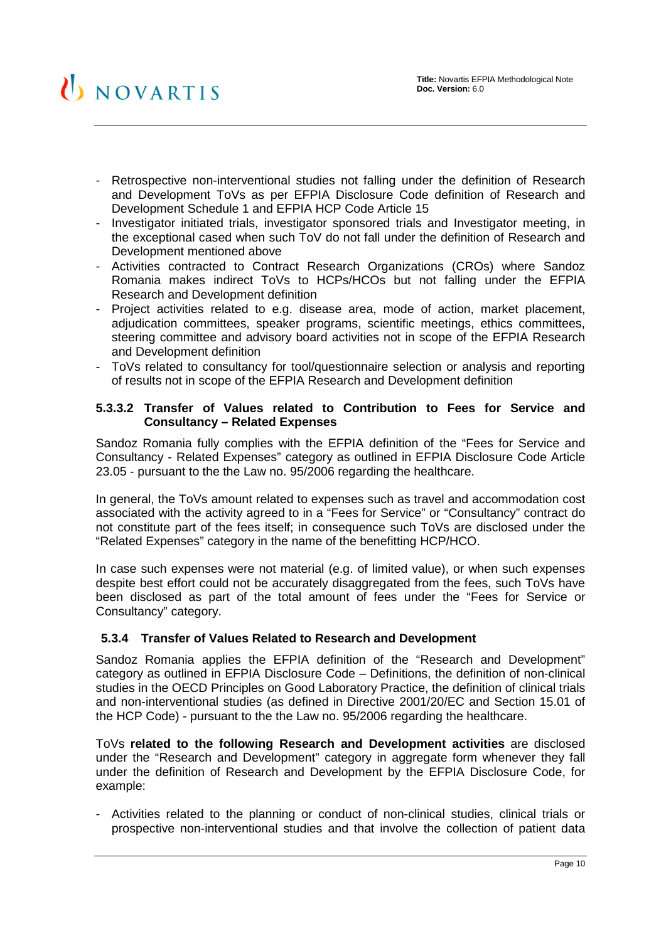- Retrospective non-interventional studies not falling under the definition of Research and Development ToVs as per EFPIA Disclosure Code definition of Research and Development Schedule 1 and EFPIA HCP Code Article 15
- Investigator initiated trials, investigator sponsored trials and Investigator meeting, in the exceptional cased when such ToV do not fall under the definition of Research and Development mentioned above
- Activities contracted to Contract Research Organizations (CROs) where Sandoz Romania makes indirect ToVs to HCPs/HCOs but not falling under the EFPIA Research and Development definition
- Project activities related to e.g. disease area, mode of action, market placement, adjudication committees, speaker programs, scientific meetings, ethics committees, steering committee and advisory board activities not in scope of the EFPIA Research and Development definition
- ToVs related to consultancy for tool/questionnaire selection or analysis and reporting of results not in scope of the EFPIA Research and Development definition

#### <span id="page-9-0"></span>**5.3.3.2 Transfer of Values related to Contribution to Fees for Service and Consultancy – Related Expenses**

Sandoz Romania fully complies with the EFPIA definition of the "Fees for Service and Consultancy - Related Expenses" category as outlined in EFPIA Disclosure Code Article 23.05 - pursuant to the the Law no. 95/2006 regarding the healthcare.

In general, the ToVs amount related to expenses such as travel and accommodation cost associated with the activity agreed to in a "Fees for Service" or "Consultancy" contract do not constitute part of the fees itself; in consequence such ToVs are disclosed under the "Related Expenses" category in the name of the benefitting HCP/HCO.

In case such expenses were not material (e.g. of limited value), or when such expenses despite best effort could not be accurately disaggregated from the fees, such ToVs have been disclosed as part of the total amount of fees under the "Fees for Service or Consultancy" category.

#### <span id="page-9-1"></span>**5.3.4 Transfer of Values Related to Research and Development**

Sandoz Romania applies the EFPIA definition of the "Research and Development" category as outlined in EFPIA Disclosure Code – Definitions, the definition of non-clinical studies in the OECD Principles on Good Laboratory Practice, the definition of clinical trials and non-interventional studies (as defined in Directive 2001/20/EC and Section 15.01 of the HCP Code) - pursuant to the the Law no. 95/2006 regarding the healthcare.

ToVs **related to the following Research and Development activities** are disclosed under the "Research and Development" category in aggregate form whenever they fall under the definition of Research and Development by the EFPIA Disclosure Code, for example:

- Activities related to the planning or conduct of non-clinical studies, clinical trials or prospective non-interventional studies and that involve the collection of patient data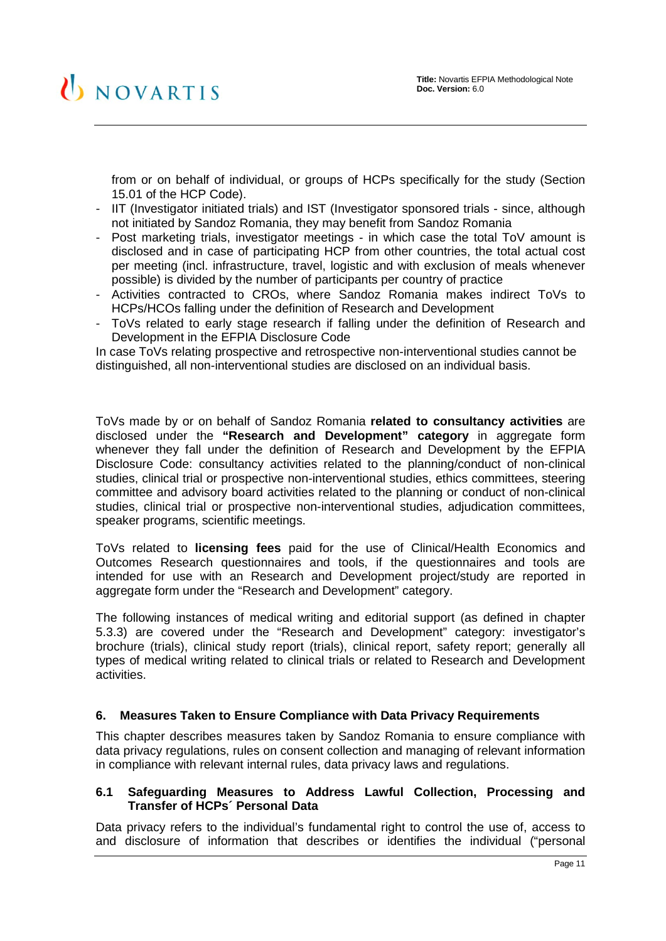from or on behalf of individual, or groups of HCPs specifically for the study (Section 15.01 of the HCP Code).

- IIT (Investigator initiated trials) and IST (Investigator sponsored trials since, although not initiated by Sandoz Romania, they may benefit from Sandoz Romania
- Post marketing trials, investigator meetings in which case the total ToV amount is disclosed and in case of participating HCP from other countries, the total actual cost per meeting (incl. infrastructure, travel, logistic and with exclusion of meals whenever possible) is divided by the number of participants per country of practice
- Activities contracted to CROs, where Sandoz Romania makes indirect ToVs to HCPs/HCOs falling under the definition of Research and Development
- ToVs related to early stage research if falling under the definition of Research and Development in the EFPIA Disclosure Code

In case ToVs relating prospective and retrospective non-interventional studies cannot be distinguished, all non-interventional studies are disclosed on an individual basis.

ToVs made by or on behalf of Sandoz Romania **related to consultancy activities** are disclosed under the **"Research and Development" category** in aggregate form whenever they fall under the definition of Research and Development by the EFPIA Disclosure Code: consultancy activities related to the planning/conduct of non-clinical studies, clinical trial or prospective non-interventional studies, ethics committees, steering committee and advisory board activities related to the planning or conduct of non-clinical studies, clinical trial or prospective non-interventional studies, adjudication committees, speaker programs, scientific meetings.

ToVs related to **licensing fees** paid for the use of Clinical/Health Economics and Outcomes Research questionnaires and tools, if the questionnaires and tools are intended for use with an Research and Development project/study are reported in aggregate form under the "Research and Development" category.

The following instances of medical writing and editorial support (as defined in chapter [5.3.3\)](#page-8-0) are covered under the "Research and Development" category: investigator's brochure (trials), clinical study report (trials), clinical report, safety report; generally all types of medical writing related to clinical trials or related to Research and Development activities.

#### <span id="page-10-0"></span>**6. Measures Taken to Ensure Compliance with Data Privacy Requirements**

This chapter describes measures taken by Sandoz Romania to ensure compliance with data privacy regulations, rules on consent collection and managing of relevant information in compliance with relevant internal rules, data privacy laws and regulations.

#### <span id="page-10-1"></span>**6.1 Safeguarding Measures to Address Lawful Collection, Processing and Transfer of HCPs´ Personal Data**

Data privacy refers to the individual's fundamental right to control the use of, access to and disclosure of information that describes or identifies the individual ("personal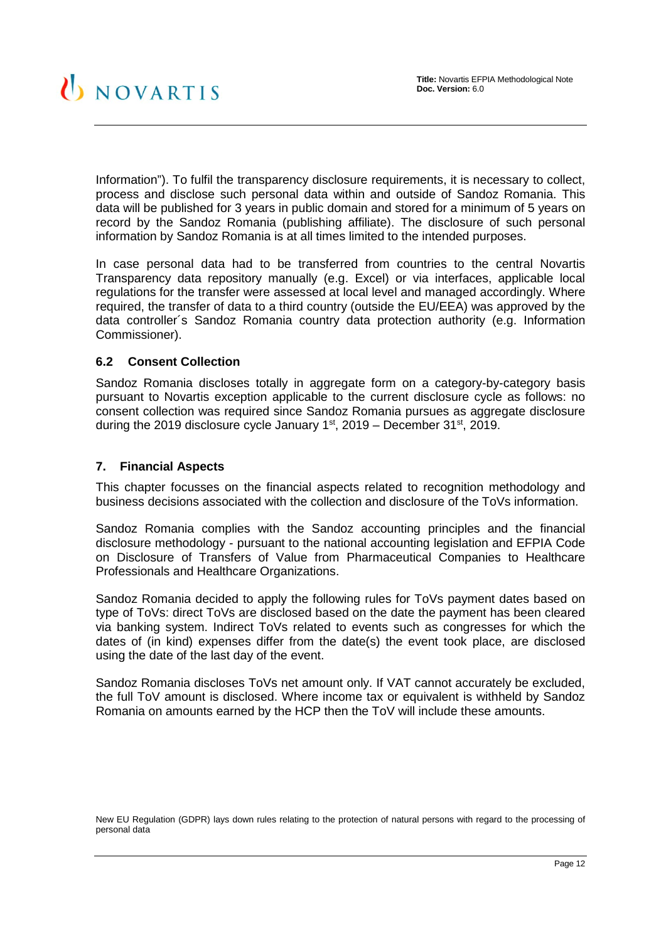Information"). To fulfil the transparency disclosure requirements, it is necessary to collect, process and disclose such personal data within and outside of Sandoz Romania. This data will be published for 3 years in public domain and stored for a minimum of 5 years on record by the Sandoz Romania (publishing affiliate). The disclosure of such personal information by Sandoz Romania is at all times limited to the intended purposes.

In case personal data had to be transferred from countries to the central Novartis Transparency data repository manually (e.g. Excel) or via interfaces, applicable local regulations for the transfer were assessed at local level and managed accordingly. Where required, the transfer of data to a third country (outside the EU/EEA) was approved by the data controller´s Sandoz Romania country data protection authority (e.g. Information Commissioner).

#### <span id="page-11-0"></span>**6.2 Consent Collection**

Sandoz Romania discloses totally in aggregate form on a category-by-category basis pursuant to Novartis exception applicable to the current disclosure cycle as follows: no consent collection was required since Sandoz Romania pursues as aggregate disclosure during the 2019 disclosure cycle January  $1<sup>st</sup>$ , 2019 – December 31 $<sup>st</sup>$ , 2019.</sup>

#### <span id="page-11-1"></span>**7. Financial Aspects**

This chapter focusses on the financial aspects related to recognition methodology and business decisions associated with the collection and disclosure of the ToVs information.

Sandoz Romania complies with the Sandoz accounting principles and the financial disclosure methodology - pursuant to the national accounting legislation and EFPIA Code on Disclosure of Transfers of Value from Pharmaceutical Companies to Healthcare Professionals and Healthcare Organizations.

Sandoz Romania decided to apply the following rules for ToVs payment dates based on type of ToVs: direct ToVs are disclosed based on the date the payment has been cleared via banking system. Indirect ToVs related to events such as congresses for which the dates of (in kind) expenses differ from the date(s) the event took place, are disclosed using the date of the last day of the event.

Sandoz Romania discloses ToVs net amount only. If VAT cannot accurately be excluded, the full ToV amount is disclosed. Where income tax or equivalent is withheld by Sandoz Romania on amounts earned by the HCP then the ToV will include these amounts.

New EU Regulation (GDPR) lays down rules relating to the protection of natural persons with regard to the processing of personal data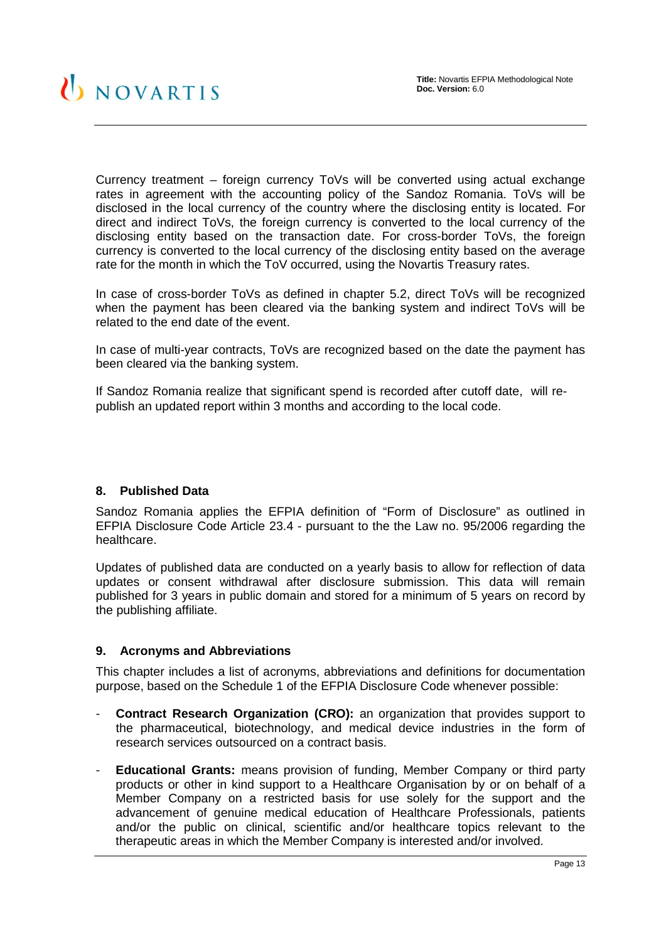Currency treatment – foreign currency ToVs will be converted using actual exchange rates in agreement with the accounting policy of the Sandoz Romania. ToVs will be disclosed in the local currency of the country where the disclosing entity is located. For direct and indirect ToVs, the foreign currency is converted to the local currency of the disclosing entity based on the transaction date. For cross-border ToVs, the foreign currency is converted to the local currency of the disclosing entity based on the average rate for the month in which the ToV occurred, using the Novartis Treasury rates.

In case of cross-border ToVs as defined in chapter 5.2, direct ToVs will be recognized when the payment has been cleared via the banking system and indirect ToVs will be related to the end date of the event.

In case of multi-year contracts, ToVs are recognized based on the date the payment has been cleared via the banking system.

If Sandoz Romania realize that significant spend is recorded after cutoff date, will republish an updated report within 3 months and according to the local code.

#### <span id="page-12-0"></span>**8. Published Data**

Sandoz Romania applies the EFPIA definition of "Form of Disclosure" as outlined in EFPIA Disclosure Code Article 23.4 - pursuant to the the Law no. 95/2006 regarding the healthcare.

Updates of published data are conducted on a yearly basis to allow for reflection of data updates or consent withdrawal after disclosure submission. This data will remain published for 3 years in public domain and stored for a minimum of 5 years on record by the publishing affiliate.

# <span id="page-12-1"></span>**9. Acronyms and Abbreviations**

This chapter includes a list of acronyms, abbreviations and definitions for documentation purpose, based on the Schedule 1 of the EFPIA Disclosure Code whenever possible:

- **Contract Research Organization (CRO):** an organization that provides support to the pharmaceutical, biotechnology, and medical device industries in the form of research services outsourced on a contract basis.
- **Educational Grants:** means provision of funding, Member Company or third party products or other in kind support to a Healthcare Organisation by or on behalf of a Member Company on a restricted basis for use solely for the support and the advancement of genuine medical education of Healthcare Professionals, patients and/or the public on clinical, scientific and/or healthcare topics relevant to the therapeutic areas in which the Member Company is interested and/or involved.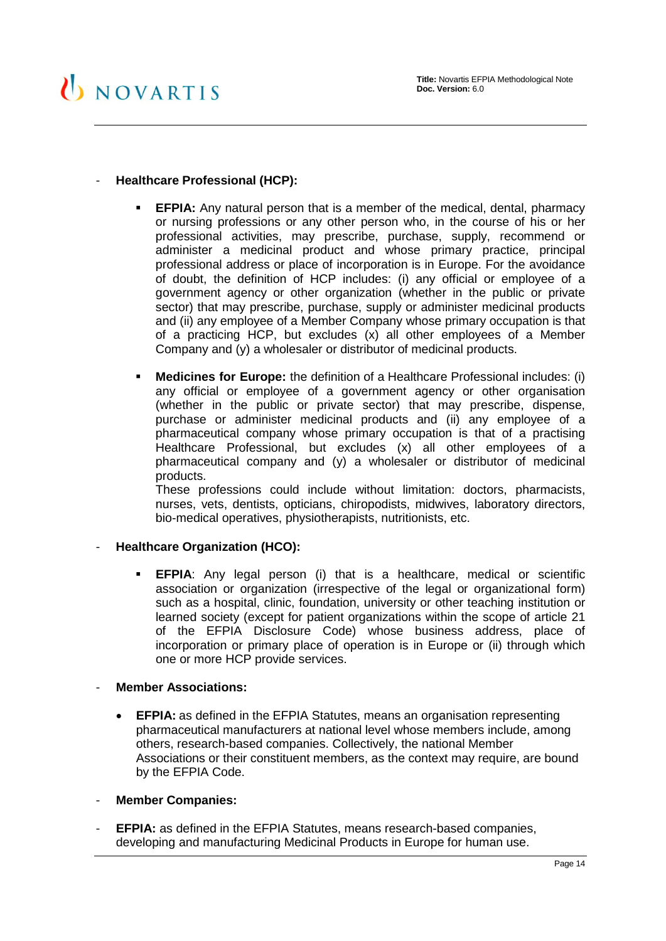# - **Healthcare Professional (HCP):**

- **EFPIA:** Any natural person that is a member of the medical, dental, pharmacy or nursing professions or any other person who, in the course of his or her professional activities, may prescribe, purchase, supply, recommend or administer a medicinal product and whose primary practice, principal professional address or place of incorporation is in Europe. For the avoidance of doubt, the definition of HCP includes: (i) any official or employee of a government agency or other organization (whether in the public or private sector) that may prescribe, purchase, supply or administer medicinal products and (ii) any employee of a Member Company whose primary occupation is that of a practicing HCP, but excludes (x) all other employees of a Member Company and (y) a wholesaler or distributor of medicinal products.
- **Medicines for Europe:** the definition of a Healthcare Professional includes: (i) any official or employee of a government agency or other organisation (whether in the public or private sector) that may prescribe, dispense, purchase or administer medicinal products and (ii) any employee of a pharmaceutical company whose primary occupation is that of a practising Healthcare Professional, but excludes (x) all other employees of a pharmaceutical company and (y) a wholesaler or distributor of medicinal products.

These professions could include without limitation: doctors, pharmacists, nurses, vets, dentists, opticians, chiropodists, midwives, laboratory directors, bio-medical operatives, physiotherapists, nutritionists, etc.

#### - **Healthcare Organization (HCO):**

 **EFPIA**: Any legal person (i) that is a healthcare, medical or scientific association or organization (irrespective of the legal or organizational form) such as a hospital, clinic, foundation, university or other teaching institution or learned society (except for patient organizations within the scope of article 21 of the EFPIA Disclosure Code) whose business address, place of incorporation or primary place of operation is in Europe or (ii) through which one or more HCP provide services.

#### **Member Associations:**

- **EFPIA:** as defined in the EFPIA Statutes, means an organisation representing pharmaceutical manufacturers at national level whose members include, among others, research-based companies. Collectively, the national Member Associations or their constituent members, as the context may require, are bound by the EFPIA Code.
- **Member Companies:**
- **EFPIA:** as defined in the EFPIA Statutes, means research-based companies, developing and manufacturing Medicinal Products in Europe for human use.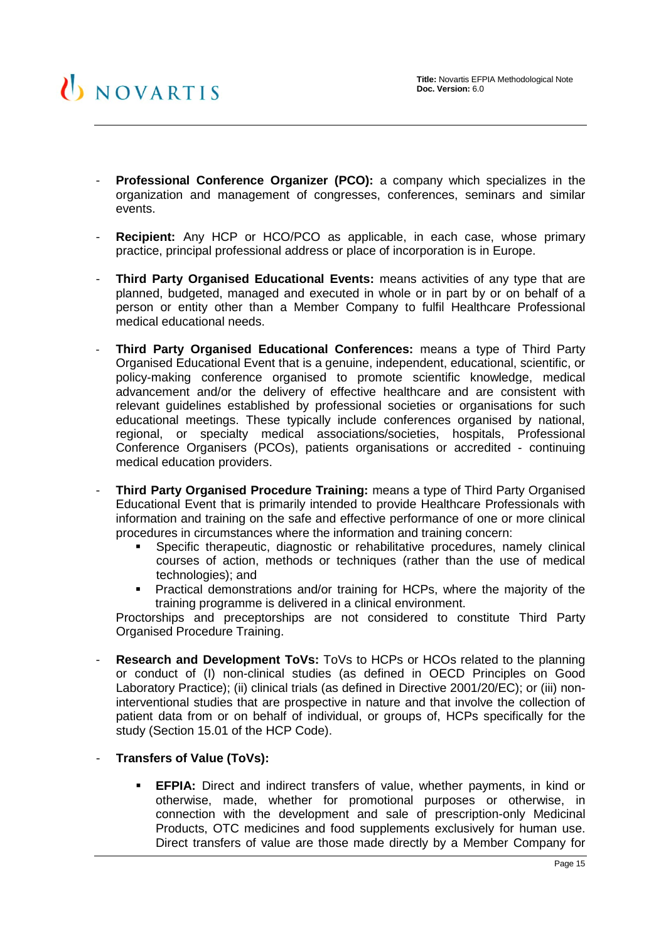- **Professional Conference Organizer (PCO):** a company which specializes in the organization and management of congresses, conferences, seminars and similar events.
- **Recipient:** Any HCP or HCO/PCO as applicable, in each case, whose primary practice, principal professional address or place of incorporation is in Europe.
- **Third Party Organised Educational Events:** means activities of any type that are planned, budgeted, managed and executed in whole or in part by or on behalf of a person or entity other than a Member Company to fulfil Healthcare Professional medical educational needs.
- **Third Party Organised Educational Conferences:** means a type of Third Party Organised Educational Event that is a genuine, independent, educational, scientific, or policy-making conference organised to promote scientific knowledge, medical advancement and/or the delivery of effective healthcare and are consistent with relevant guidelines established by professional societies or organisations for such educational meetings. These typically include conferences organised by national, regional, or specialty medical associations/societies, hospitals, Professional Conference Organisers (PCOs), patients organisations or accredited - continuing medical education providers.
- **Third Party Organised Procedure Training:** means a type of Third Party Organised Educational Event that is primarily intended to provide Healthcare Professionals with information and training on the safe and effective performance of one or more clinical procedures in circumstances where the information and training concern:
	- Specific therapeutic, diagnostic or rehabilitative procedures, namely clinical courses of action, methods or techniques (rather than the use of medical technologies); and
	- **Practical demonstrations and/or training for HCPs, where the majority of the** training programme is delivered in a clinical environment.

Proctorships and preceptorships are not considered to constitute Third Party Organised Procedure Training.

- **Research and Development ToVs:** ToVs to HCPs or HCOs related to the planning or conduct of (I) non-clinical studies (as defined in OECD Principles on Good Laboratory Practice); (ii) clinical trials (as defined in Directive 2001/20/EC); or (iii) noninterventional studies that are prospective in nature and that involve the collection of patient data from or on behalf of individual, or groups of, HCPs specifically for the study (Section 15.01 of the HCP Code).
- **Transfers of Value (ToVs):** 
	- **EFPIA:** Direct and indirect transfers of value, whether payments, in kind or otherwise, made, whether for promotional purposes or otherwise, in connection with the development and sale of prescription-only Medicinal Products, OTC medicines and food supplements exclusively for human use. Direct transfers of value are those made directly by a Member Company for